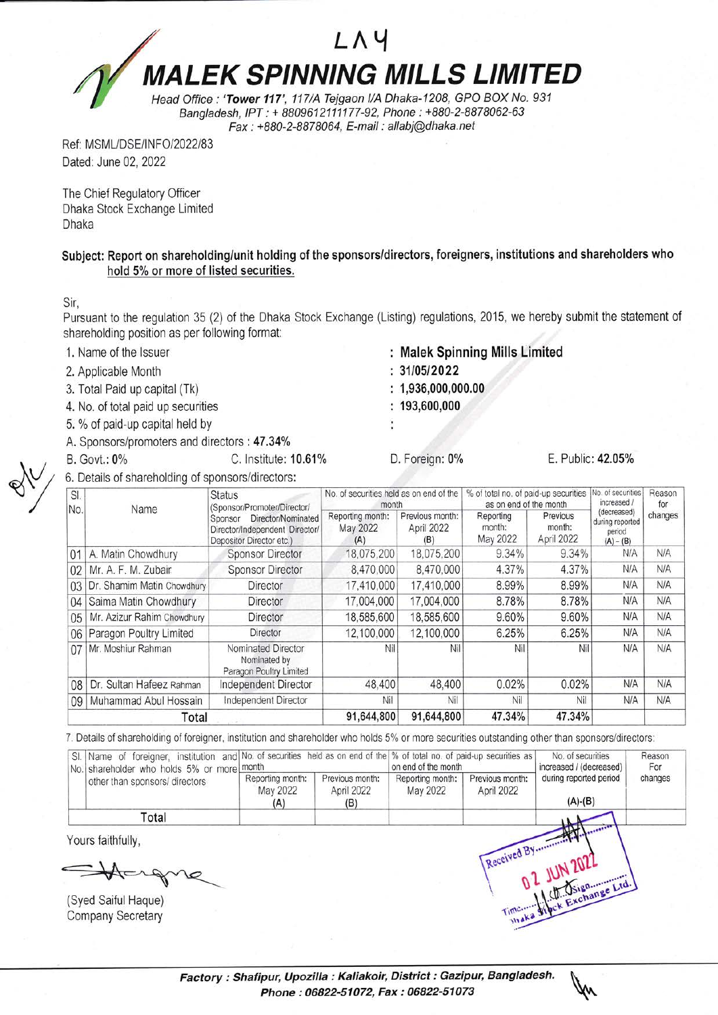## LAY **MALEK SPINNING MILLS LIMITED**

Head Office : 'Tower 117', 117/A Tejgaon I/A Dhaka-1208, GPO BOX No. 931 Bangladesh, IPT : + 8809612111177-92, Phone : +880-2-8878062-63 Fax : +880-2-B8T8064, E-mail : allabi@dhaka.net

Ref: MSML/DSE/INFO/2022/83 Dated: June 02, 2022

The Chief Regulatory Officer Dhaka Stock Exchange Limited Dhaka

Subject: Report on shareholding/unit holding of the sponsors/directors, foreigners, institutions and shareholders who hold 5% or more of listed securities.

Sir,

Pursuant to the regulation 35 (2) of the Dhaka Stock Exchange (Listing) regulations, 2015, we hereby submit the statement of shareholding position as per following format:

- 1. Name of the lssuer
- 2, Applicable Month
- 3, Total Paid up capital (Tk)
- 4. No. of total paid up securities
- 5. % of paid-up capital held by
- A. Sponsors/promoters and directors : 47.34%
- B. Govt.: 0% C. Institute: 10.61% D. Foreign: 0% E. Public: 42.05%
- 6. Details of shareholding of sponsors/directors:
- : Malek Spinning Mills Limited
- $:31/05/2022$
- $: 1,936,000,000.00$
- $: 193,600,000$

| SI.<br>No.      | Name                            | <b>Status</b><br>(Sponsor/Promoter/Director/<br>Director/Nominated<br>Sponsor<br>Director/Independent Director/<br>Depositor Director etc.) | No, of securities held as on end of the<br>month |                                      | % of total no. of paid-up securities<br>as on end of the month |                                  | No. of securities<br>increased /                        | Reason<br>for |
|-----------------|---------------------------------|---------------------------------------------------------------------------------------------------------------------------------------------|--------------------------------------------------|--------------------------------------|----------------------------------------------------------------|----------------------------------|---------------------------------------------------------|---------------|
|                 |                                 |                                                                                                                                             | Reporting month:<br>May 2022<br>(A)              | Previous month:<br>April 2022<br>(B) | Reporting<br>month:<br>May 2022                                | Previous<br>month:<br>April 2022 | (decreased)<br>during reported<br>period<br>$(A) - (B)$ | changes       |
| 01              | A. Matin Chowdhury              | <b>Sponsor Director</b>                                                                                                                     | 18,075,200                                       | 18,075,200                           | 9.34%                                                          | 9.34%                            | N/A                                                     | <b>N/A</b>    |
| 02              | Mr. A. F. M. Zubair             | Sponsor Director                                                                                                                            | 8,470,000                                        | 8,470,000                            | 4.37%                                                          | 4.37%                            | N/A                                                     | N/A           |
|                 | 03   Dr. Shamim Matin Chowdhury | Director                                                                                                                                    | 17,410,000                                       | 17,410,000                           | 8.99%                                                          | 8.99%                            | N/A                                                     | N/A           |
|                 | 04 Saima Matin Chowdhury        | Director                                                                                                                                    | 17,004,000                                       | 17,004,000                           | 8.78%                                                          | 8.78%                            | N/A                                                     | N/A           |
| 05              | Mr. Azizur Rahim Chowdhury      | Director                                                                                                                                    | 18,585,600                                       | 18,585,600                           | 9.60%                                                          | 9.60%                            | N/A                                                     | N/A           |
|                 | 06 Paragon Poultry Limited      | Director                                                                                                                                    | 12,100,000                                       | 12,100,000                           | 6.25%                                                          | 6.25%                            | N/A                                                     | N/A           |
| 071             | Mr. Moshiur Rahman              | Nominated Director<br>Nominated by<br>Paragon Poultry Limited                                                                               | Nil                                              | Nil                                  | Nil                                                            | Nil                              | N/A                                                     | N/A           |
| 08 <sup>1</sup> | Dr. Sultan Hafeez Rahman        | Independent Director                                                                                                                        | 48,400                                           | 48,400                               | 0.02%                                                          | 0.02%                            | N/A                                                     | N/A           |
|                 | 09   Muhammad Abul Hossain      | Independent Director                                                                                                                        | Nil                                              | Nil                                  | Nil                                                            | Nil                              | N/A                                                     | N/A           |
| Total           |                                 |                                                                                                                                             | 91,644,800                                       | 91,644,800                           | 47.34%                                                         | 47.34%                           |                                                         |               |

7. Details of shareholding of foreigner, institution and shareholder who holds 5% or more securities outstanding other than sponsors/directors:

| No. shareholder who holds 5% or more month | SI. Name of foreigner, institution and No. of securities held as on end of the % of total no. of paid-up securities as |                                      | on end of the month          |                               | No. of securities<br>increased / (decreased) | Reason<br>For |
|--------------------------------------------|------------------------------------------------------------------------------------------------------------------------|--------------------------------------|------------------------------|-------------------------------|----------------------------------------------|---------------|
| other than sponsors/ directors             | Reporting month:<br>May 2022<br>(A)                                                                                    | Previous month:<br>April 2022<br>(B) | Reporting month:<br>May 2022 | Previous month:<br>April 2022 | during reported period<br>$(A)-(B)$          | changes       |
| Total                                      |                                                                                                                        |                                      |                              |                               |                                              |               |
| Yours faithfully,                          |                                                                                                                        |                                      |                              |                               |                                              |               |
|                                            |                                                                                                                        |                                      |                              |                               |                                              |               |

Syed Saiful Haque) Company Secretary